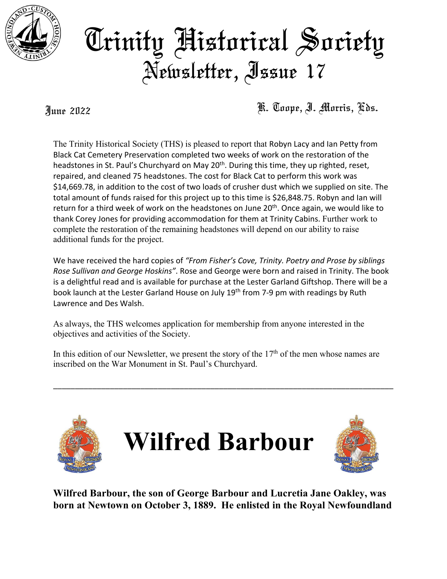

## Trinity Historical Society Newsletter, Issue 17

June 2022 K. Toope, I. Morris, Eds.

The Trinity Historical Society (THS) is pleased to report that Robyn Lacy and Ian Petty from Black Cat Cemetery Preservation completed two weeks of work on the restoration of the headstones in St. Paul's Churchyard on May 20<sup>th</sup>. During this time, they up righted, reset, repaired, and cleaned 75 headstones. The cost for Black Cat to perform this work was \$14,669.78, in addition to the cost of two loads of crusher dust which we supplied on site. The total amount of funds raised for this project up to this time is \$26,848.75. Robyn and Ian will return for a third week of work on the headstones on June 20<sup>th</sup>. Once again, we would like to thank Corey Jones for providing accommodation for them at Trinity Cabins. Further work to complete the restoration of the remaining headstones will depend on our ability to raise additional funds for the project.

We have received the hard copies of *"From Fisher's Cove, Trinity. Poetry and Prose by siblings Rose Sullivan and George Hoskins"*. Rose and George were born and raised in Trinity. The book is a delightful read and is available for purchase at the Lester Garland Giftshop. There will be a book launch at the Lester Garland House on July 19<sup>th</sup> from 7-9 pm with readings by Ruth Lawrence and Des Walsh.

As always, the THS welcomes application for membership from anyone interested in the objectives and activities of the Society.

In this edition of our Newsletter, we present the story of the  $17<sup>th</sup>$  of the men whose names are inscribed on the War Monument in St. Paul's Churchyard.

\_\_\_\_\_\_\_\_\_\_\_\_\_\_\_\_\_\_\_\_\_\_\_\_\_\_\_\_\_\_\_\_\_\_\_\_\_\_\_\_\_\_\_\_\_\_\_\_\_\_\_\_\_\_\_\_\_\_\_\_\_\_\_\_\_\_\_\_\_\_\_\_\_\_\_\_\_\_







**Wilfred Barbour, the son of George Barbour and Lucretia Jane Oakley, was born at Newtown on October 3, 1889. He enlisted in the Royal Newfoundland**